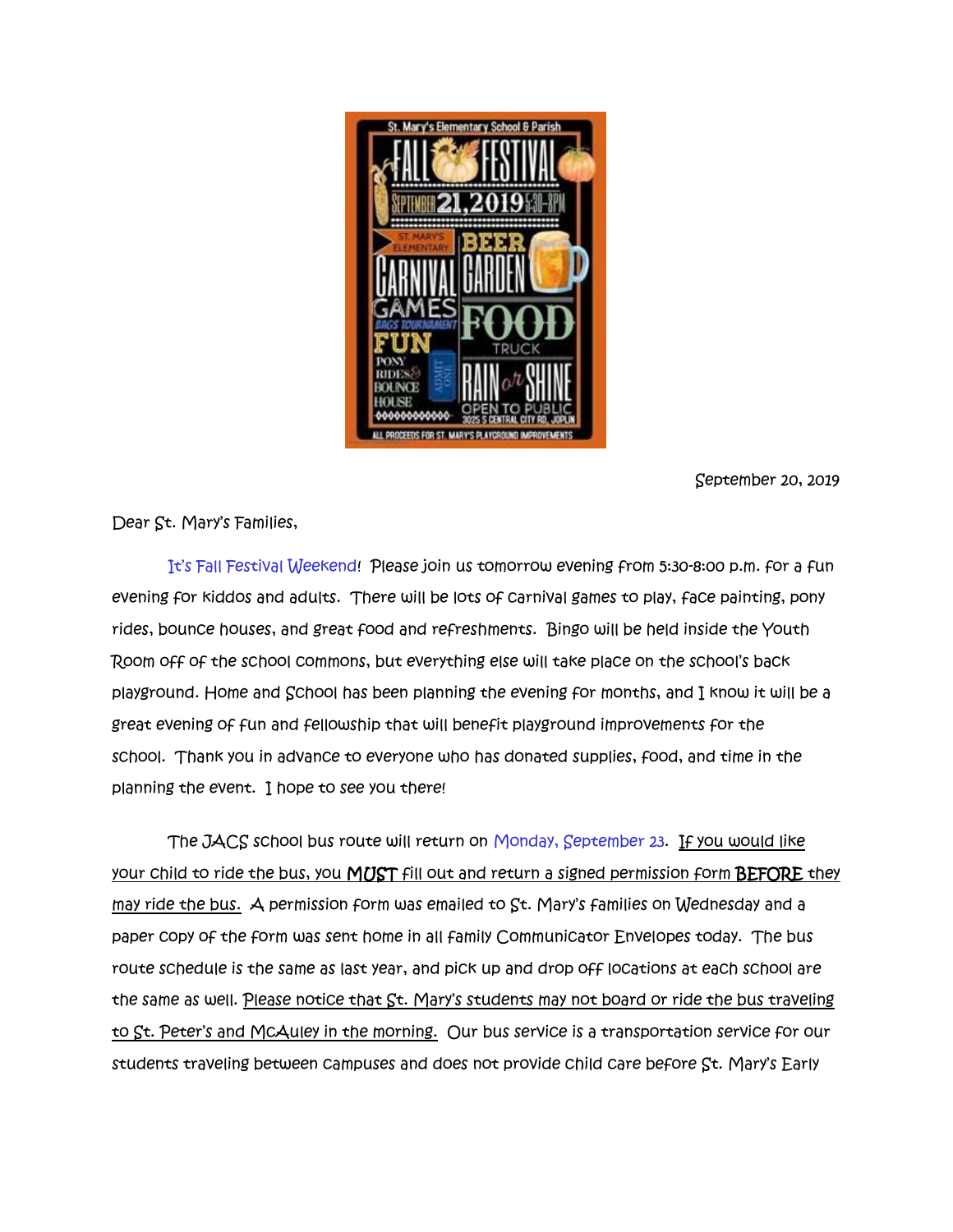

September 20, 2019

Dear St. Mary's Families,

It's Fall Festival Weekend! Please join us tomorrow evening from 5:30-8:00 p.m. for a fun evening for kiddos and adults. There will be lots of carnival games to play, face painting, pony rides, bounce houses, and great food and refreshments. Bingo will be held inside the Youth Room off of the school commons, but everything else will take place on the school's back playground. Home and School has been planning the evening for months, and I know it will be a great evening of fun and fellowship that will benefit playground improvements for the school. Thank you in advance to everyone who has donated supplies, food, and time in the planning the event. I hope to see you there!

 The JACS school bus route will return on Monday, September 23. If you would like your child to ride the bus, you MUST fill out and return a signed permission form BEFORE they may ride the bus. A permission form was emailed to St. Mary's families on Wednesday and a paper copy of the form was sent home in all family Communicator Envelopes today. The bus route schedule is the same as last year, and pick up and drop off locations at each school are the same as well. Please notice that St. Mary's students may not board or ride the bus traveling to St. Peter's and McAuley in the morning. Our bus service is a transportation service for our students traveling between campuses and does not provide child care before St. Mary's Early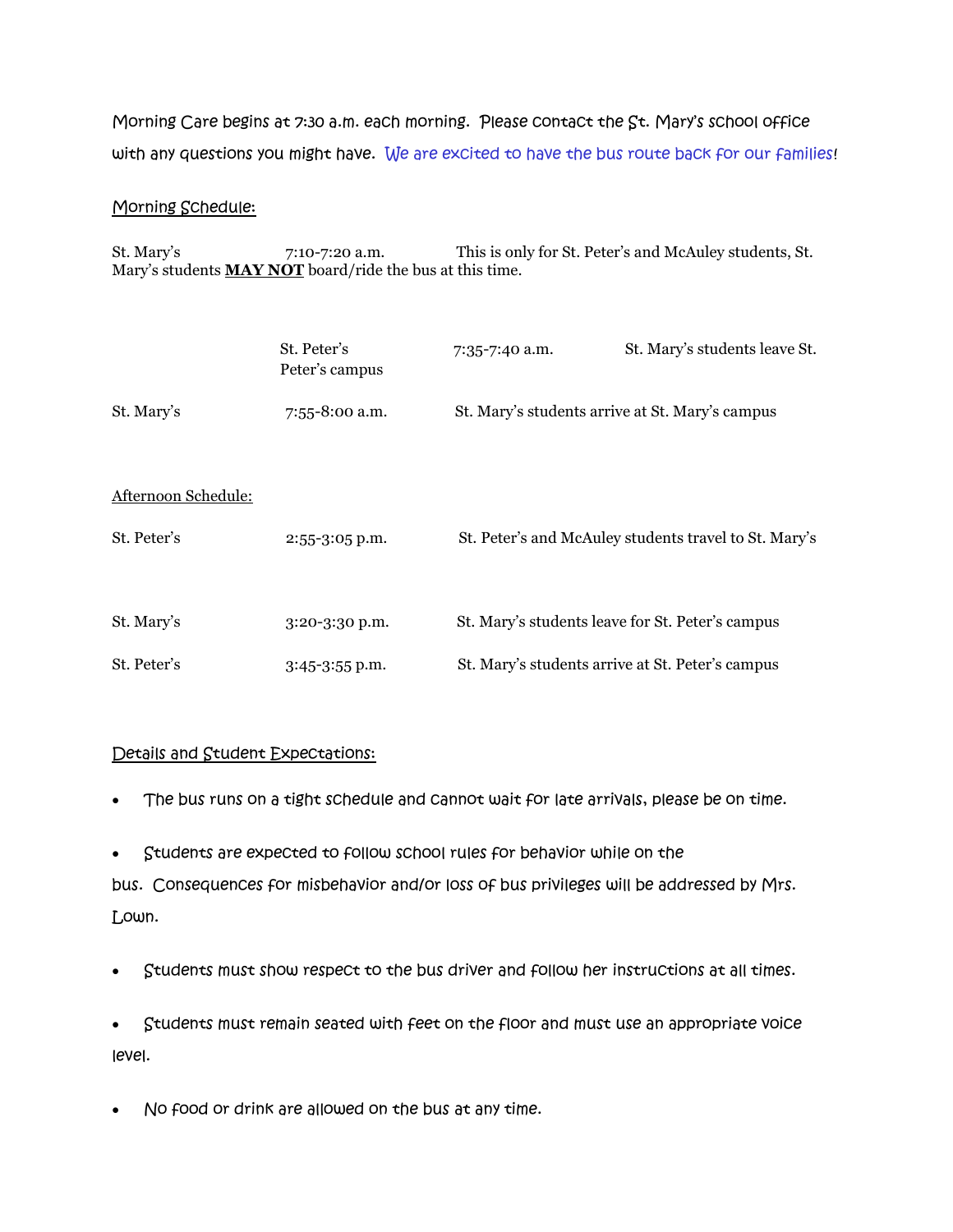Morning Care begins at 7:30 a.m. each morning. Please contact the St. Mary's school office with any questions you might have. We are excited to have the bus route back for our families!

## Morning Schedule:

St. Mary's 7:10-7:20 a.m. This is only for St. Peter's and McAuley students, St. Mary's students **MAY NOT** board/ride the bus at this time.

|                     | St. Peter's<br>Peter's campus | 7:35-7:40 a.m.                                   | St. Mary's students leave St.                         |
|---------------------|-------------------------------|--------------------------------------------------|-------------------------------------------------------|
| St. Mary's          | 7:55-8:00 a.m.                | St. Mary's students arrive at St. Mary's campus  |                                                       |
| Afternoon Schedule: |                               |                                                  |                                                       |
| St. Peter's         | $2:55-3:05$ p.m.              |                                                  | St. Peter's and McAuley students travel to St. Mary's |
|                     |                               |                                                  |                                                       |
| St. Mary's          | $3:20 - 3:30$ p.m.            | St. Mary's students leave for St. Peter's campus |                                                       |
| St. Peter's         | $3:45-3:55$ p.m.              | St. Mary's students arrive at St. Peter's campus |                                                       |

## Details and Student Expectations:

- The bus runs on a tight schedule and cannot wait for late arrivals, please be on time.
- Students are expected to follow school rules for behavior while on the bus. Consequences for misbehavior and/or loss of bus privileges will be addressed by Mrs. Lown.
- Students must show respect to the bus driver and follow her instructions at all times.
- Students must remain seated with feet on the floor and must use an appropriate voice level.
- No food or drink are allowed on the bus at any time.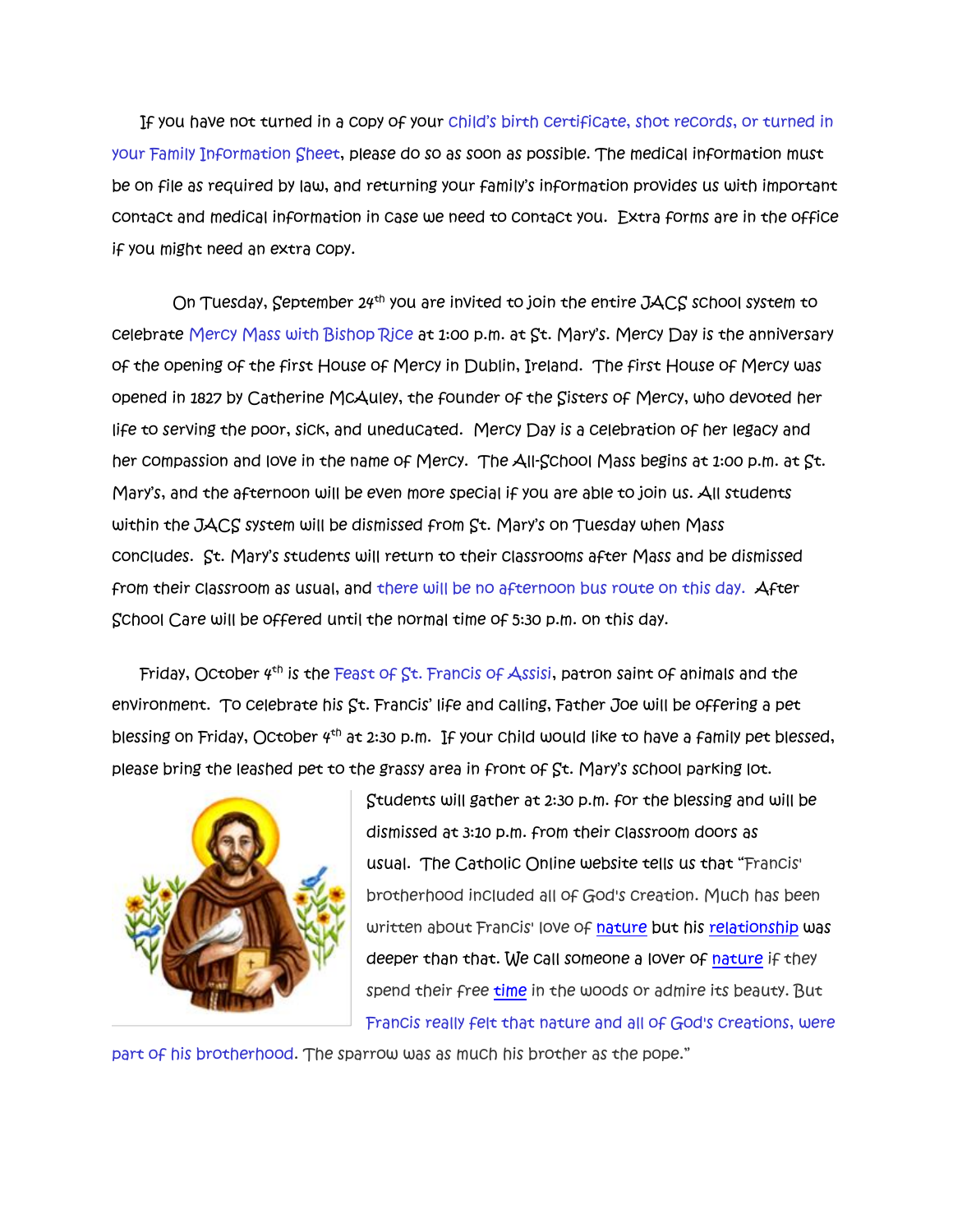If you have not turned in a copy of your child's birth certificate, shot records, or turned in your Family Information Sheet, please do so as soon as possible. The medical information must be on file as required by law, and returning your family's information provides us with important contact and medical information in case we need to contact you. Extra forms are in the office if you might need an extra copy.

On Tuesday, September  $24^{th}$  you are invited to join the entire JACS school system to celebrate Mercy Mass with Bishop Rice at 1:00 p.m. at St. Mary's. Mercy Day is the anniversary of the opening of the first House of Mercy in Dublin, Ireland. The first House of Mercy was opened in 1827 by Catherine McAuley, the founder of the Sisters of Mercy, who devoted her life to serving the poor, sick, and uneducated. Mercy Day is a celebration of her legacy and her compassion and love in the name of Mercy. The All-School Mass begins at 1:00 p.m. at St. Mary's, and the afternoon will be even more special if you are able to join us. All students within the JACS system will be dismissed from St. Mary's on Tuesday when Mass concludes. St. Mary's students will return to their classrooms after Mass and be dismissed from their classroom as usual, and there will be no afternoon bus route on this day. After School Care will be offered until the normal time of 5:30 p.m. on this day.

Friday, October  $4^{th}$  is the Feast of St. Francis of Assisi, patron saint of animals and the environment. To celebrate his St. Francis' life and calling, Father Joe will be offering a pet blessing on Friday, October 4th at 2:30 p.m. If your child would like to have a family pet blessed, please bring the leashed pet to the grassy area in front of St. Mary's school parking lot.



Students will gather at 2:30 p.m. for the blessing and will be dismissed at 3:10 p.m. from their classroom doors as usual. The Catholic Online website tells us that "Francis' brotherhood included all of God's creation. Much has been written about Francis' love of [nature](https://www.catholic.org/encyclopedia/view.php?id=8348) but his [relationship](https://www.catholic.org/encyclopedia/view.php?id=9931) was deeper than that. We call someone a lover of [nature](https://www.catholic.org/encyclopedia/view.php?id=8348) if they spend their free [time](https://www.catholic.org/encyclopedia/view.php?id=11571) in the woods or admire its beauty. But Francis really felt that nature and all of God's creations, were

part of his brotherhood. The sparrow was as much his brother as the pope."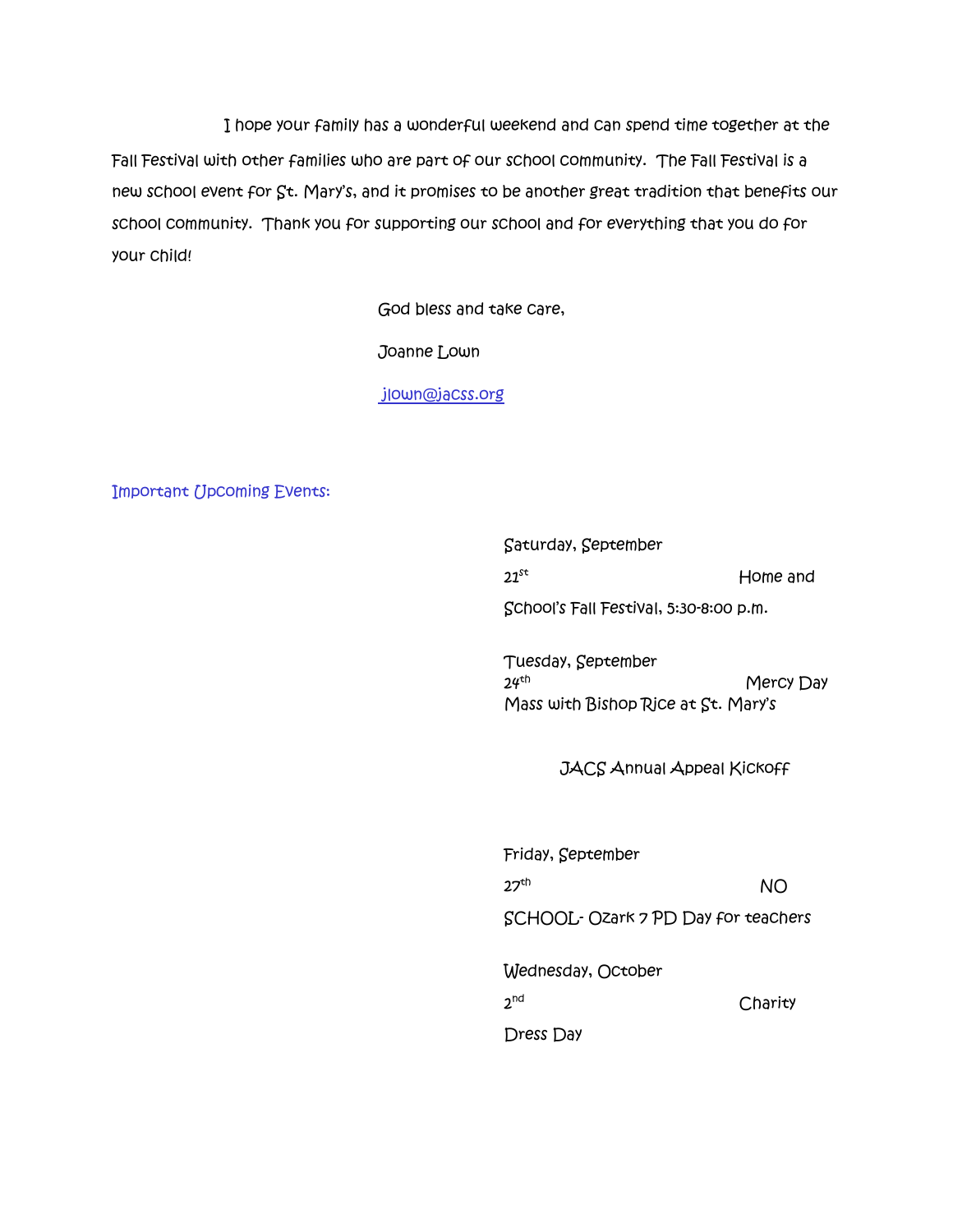I hope your family has a wonderful weekend and can spend time together at the Fall Festival with other families who are part of our school community. The Fall Festival is a new school event for St. Mary's, and it promises to be another great tradition that benefits our school community. Thank you for supporting our school and for everything that you do for your child!

God bless and take care,

Joanne Lown

[jlown@jacss.org](mailto:jlown@jacss.org)

Important Upcoming Events:

Saturday, September  $21$ st Home and

School's Fall Festival, 5:30-8:00 p.m.

Tuesday, September  $24$ <sup>th</sup> Mercy Day Mass with Bishop Rice at St. Mary's

JACS Annual Appeal Kickoff

Friday, September  $27<sup>th</sup>$  NO SCHOOL- Ozark 7 PD Day for teachers Wednesday, October  $2^{\text{nd}}$ **Charity** 

Dress Day